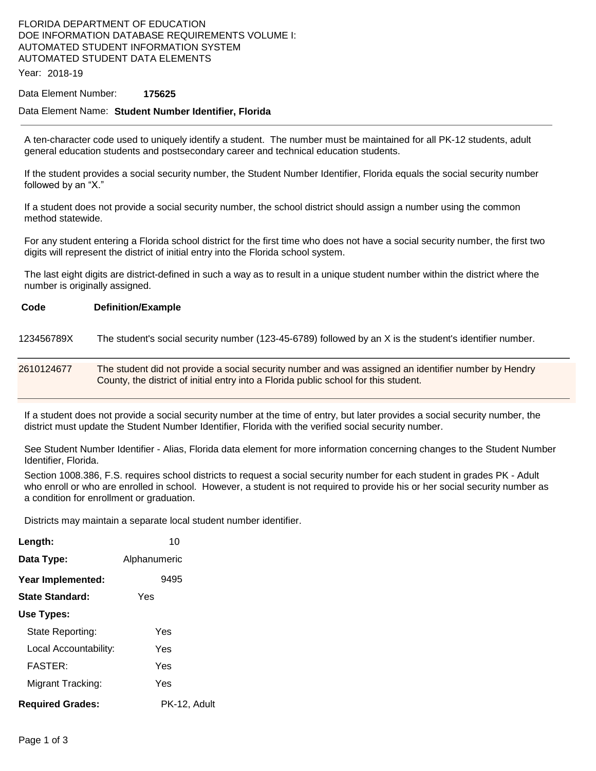### FLORIDA DEPARTMENT OF EDUCATION DOE INFORMATION DATABASE REQUIREMENTS VOLUME I: AUTOMATED STUDENT INFORMATION SYSTEM AUTOMATED STUDENT DATA ELEMENTS

Year: 2018-19

#### Data Element Number: **175625**

### Data Element Name: **Student Number Identifier, Florida**

A ten-character code used to uniquely identify a student. The number must be maintained for all PK-12 students, adult general education students and postsecondary career and technical education students.

If the student provides a social security number, the Student Number Identifier, Florida equals the social security number followed by an "X."

If a student does not provide a social security number, the school district should assign a number using the common method statewide.

For any student entering a Florida school district for the first time who does not have a social security number, the first two digits will represent the district of initial entry into the Florida school system.

The last eight digits are district-defined in such a way as to result in a unique student number within the district where the number is originally assigned.

| Code       | <b>Definition/Example</b>                                                                                                                                                                    |
|------------|----------------------------------------------------------------------------------------------------------------------------------------------------------------------------------------------|
| 123456789X | The student's social security number (123-45-6789) followed by an X is the student's identifier number.                                                                                      |
| 2610124677 | The student did not provide a social security number and was assigned an identifier number by Hendry<br>County, the district of initial entry into a Florida public school for this student. |

If a student does not provide a social security number at the time of entry, but later provides a social security number, the district must update the Student Number Identifier, Florida with the verified social security number.

See Student Number Identifier - Alias, Florida data element for more information concerning changes to the Student Number Identifier, Florida.

Section 1008.386, F.S. requires school districts to request a social security number for each student in grades PK - Adult who enroll or who are enrolled in school. However, a student is not required to provide his or her social security number as a condition for enrollment or graduation.

Districts may maintain a separate local student number identifier.

| Length:                 | 10           |
|-------------------------|--------------|
| Data Type:              | Alphanumeric |
| Year Implemented:       | 9495         |
| <b>State Standard:</b>  | Yes          |
| Use Types:              |              |
| State Reporting:        | Yes          |
| Local Accountability:   | Yes          |
| <b>FASTER:</b>          | Yes          |
| Migrant Tracking:       | Yes          |
| <b>Required Grades:</b> | PK-12, Adult |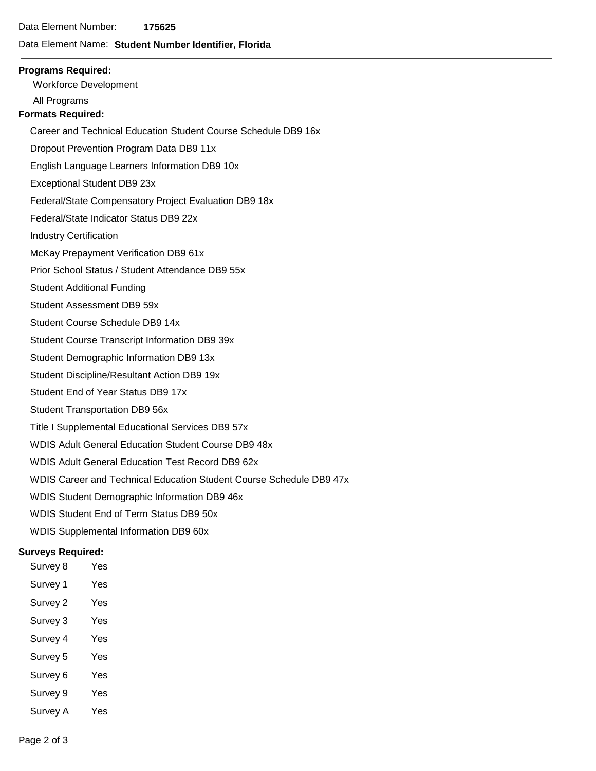### Data Element Name: **Student Number Identifier, Florida**

# **Programs Required:**  Workforce Development All Programs **Formats Required:**  Career and Technical Education Student Course Schedule DB9 16x Dropout Prevention Program Data DB9 11x English Language Learners Information DB9 10x Exceptional Student DB9 23x Federal/State Compensatory Project Evaluation DB9 18x Federal/State Indicator Status DB9 22x Industry Certification McKay Prepayment Verification DB9 61x Prior School Status / Student Attendance DB9 55x Student Additional Funding Student Assessment DB9 59x Student Course Schedule DB9 14x Student Course Transcript Information DB9 39x Student Demographic Information DB9 13x Student Discipline/Resultant Action DB9 19x Student End of Year Status DB9 17x Student Transportation DB9 56x Title I Supplemental Educational Services DB9 57x WDIS Adult General Education Student Course DB9 48x WDIS Adult General Education Test Record DB9 62x WDIS Career and Technical Education Student Course Schedule DB9 47x WDIS Student Demographic Information DB9 46x WDIS Student End of Term Status DB9 50x WDIS Supplemental Information DB9 60x **Surveys Required:**  Survey 8 Yes Survey 1 Yes

- Survey 2 Yes
- Survey 3 Yes
- Survey 4 Yes
- 
- Survey 5 Yes
- Survey 6 Yes
- Survey 9 Yes
- Survey A Yes